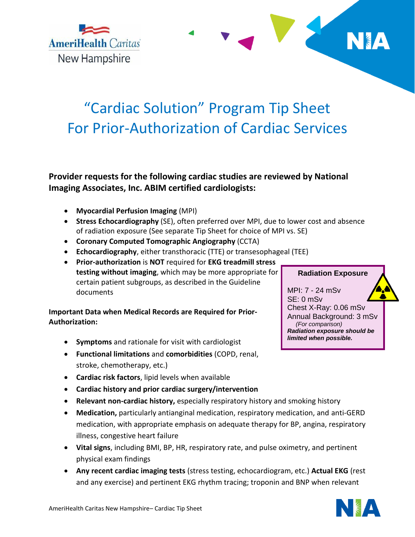

# "Cardiac Solution" Program Tip Sheet For Prior-Authorization of Cardiac Services

# **Provider requests for the following cardiac studies are reviewed by National Imaging Associates, Inc. ABIM certified cardiologists:**

**Myocardial Perfusion Imaging** (MPI)

**AmeriHealth Caritas** 

New Hampshire

- **Stress Echocardiography** (SE), often preferred over MPI, due to lower cost and absence of radiation exposure (See separate Tip Sheet for choice of MPI vs. SE)
- **Coronary Computed Tomographic Angiography** (CCTA)
- **Echocardiography**, either transthoracic (TTE) or transesophageal (TEE)
- **Prior-authorization** is **NOT** required for **EKG treadmill stress testing without imaging**, which may be more appropriate for certain patient subgroups, as described in the Guideline documents

## **Important Data when Medical Records are Required for Prior-Authorization:**

- **Symptoms** and rationale for visit with cardiologist
- **Functional limitations** and **comorbidities** (COPD, renal, stroke, chemotherapy, etc.)
- **Cardiac risk factors**, lipid levels when available
- **Cardiac history and prior cardiac surgery/intervention**
- **Relevant non-cardiac history,** especially respiratory history and smoking history
- **Medication,** particularly antianginal medication, respiratory medication, and anti-GERD medication, with appropriate emphasis on adequate therapy for BP, angina, respiratory illness, congestive heart failure
- **Vital signs**, including BMI, BP, HR, respiratory rate, and pulse oximetry, and pertinent physical exam findings
- **Any recent cardiac imaging tests** (stress testing, echocardiogram, etc.) **Actual EKG** (rest and any exercise) and pertinent EKG rhythm tracing; troponin and BNP when relevant



MPI: 7 - 24 mSv SE: 0 mSv Chest X-Ray: 0.06 mSv Annual Background: 3 mSv  *(For comparison) Radiation exposure should be limited when possible.*